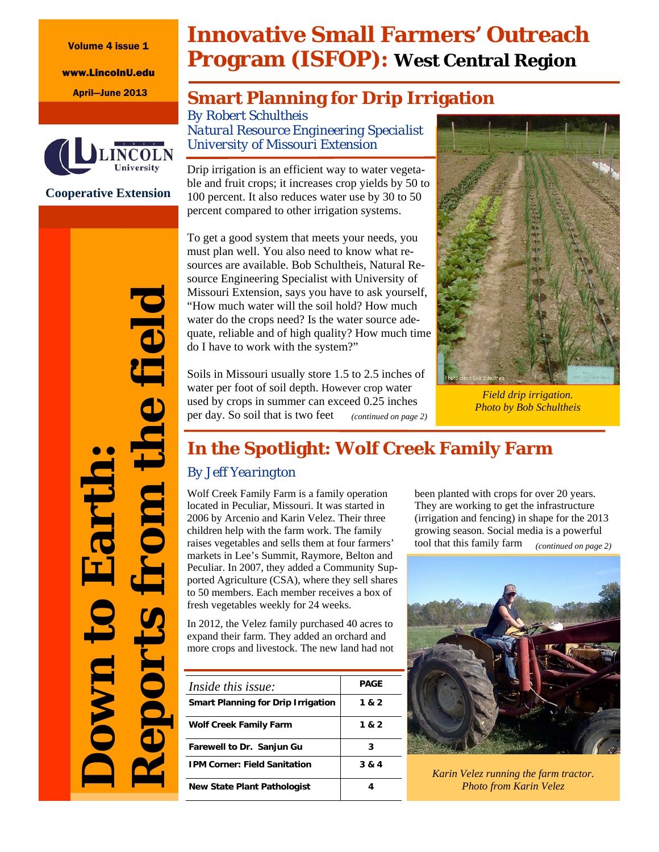Volume 4 issue 1

www.LincolnU.edu



**Cooperative Extension** 

# **Innovative Small Farmers' Outreach Program (ISFOP): West Central Region**

## April—June 2013 **Smart Planning for Drip Irrigation**

*By Robert Schultheis Natural Resource Engineering Specialist University of Missouri Extension* 

Drip irrigation is an efficient way to water vegetable and fruit crops; it increases crop yields by 50 to 100 percent. It also reduces water use by 30 to 50 percent compared to other irrigation systems.

To get a good system that meets your needs, you must plan well. You also need to know what resources are available. Bob Schultheis, Natural Resource Engineering Specialist with University of Missouri Extension, says you have to ask yourself, "How much water will the soil hold? How much water do the crops need? Is the water source adequate, reliable and of high quality? How much time do I have to work with the system?"

Soils in Missouri usually store 1.5 to 2.5 inches of water per foot of soil depth. However crop water used by crops in summer can exceed 0.25 inches per day. So soil that is two feet *(continued on page 2)* 



*Field drip irrigation. Photo by Bob Schultheis* 

## **In the Spotlight: Wolf Creek Family Farm**

## *By Jeff Yearington*

Wolf Creek Family Farm is a family operation located in Peculiar, Missouri. It was started in 2006 by Arcenio and Karin Velez. Their three children help with the farm work. The family raises vegetables and sells them at four farmers' markets in Lee's Summit, Raymore, Belton and Peculiar. In 2007, they added a Community Supported Agriculture (CSA), where they sell shares to 50 members. Each member receives a box of fresh vegetables weekly for 24 weeks.

In 2012, the Velez family purchased 40 acres to expand their farm. They added an orchard and more crops and livestock. The new land had not

| Inside this issue:                        | <b>PAGE</b> |
|-------------------------------------------|-------------|
| <b>Smart Planning for Drip Irrigation</b> | 1 & 2       |
| Wolf Creek Family Farm                    | 1 & 2       |
| Farewell to Dr. Sanjun Gu                 | 3           |
| <b>IPM Corner: Field Sanitation</b>       | 3 & 4       |
| New State Plant Pathologist               |             |

been planted with crops for over 20 years. They are working to get the infrastructure (irrigation and fencing) in shape for the 2013 growing season. Social media is a powerful tool that this family farm *(continued on page 2)* 



*Karin Velez running the farm tractor. Photo from Karin Velez* 

*Reports from the field*  he field **Down to Earth:**  Earth m ports **UMD**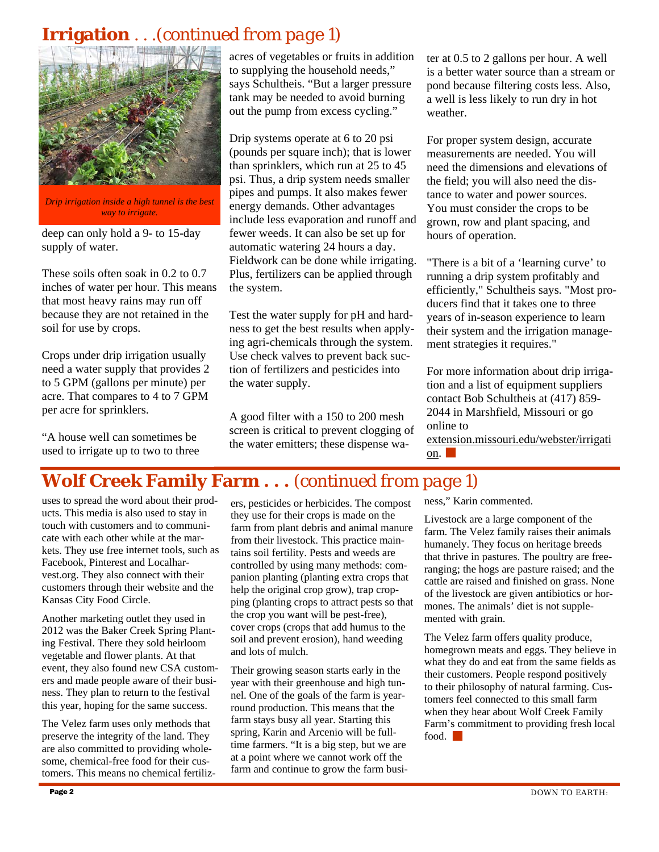## **Irrigation** . . .*(continued from page 1)*



*Drip irrigation inside a high tunnel is the best way to irrigate.* 

deep can only hold a 9- to 15-day supply of water.

These soils often soak in 0.2 to 0.7 inches of water per hour. This means that most heavy rains may run off because they are not retained in the soil for use by crops.

Crops under drip irrigation usually need a water supply that provides 2 to 5 GPM (gallons per minute) per acre. That compares to 4 to 7 GPM per acre for sprinklers.

"A house well can sometimes be used to irrigate up to two to three acres of vegetables or fruits in addition to supplying the household needs," says Schultheis. "But a larger pressure tank may be needed to avoid burning out the pump from excess cycling."

Drip systems operate at 6 to 20 psi (pounds per square inch); that is lower than sprinklers, which run at 25 to 45 psi. Thus, a drip system needs smaller pipes and pumps. It also makes fewer energy demands. Other advantages include less evaporation and runoff and fewer weeds. It can also be set up for automatic watering 24 hours a day. Fieldwork can be done while irrigating. Plus, fertilizers can be applied through the system.

Test the water supply for pH and hardness to get the best results when applying agri-chemicals through the system. Use check valves to prevent back suction of fertilizers and pesticides into the water supply.

A good filter with a 150 to 200 mesh screen is critical to prevent clogging of the water emitters; these dispense water at 0.5 to 2 gallons per hour. A well is a better water source than a stream or pond because filtering costs less. Also, a well is less likely to run dry in hot weather.

For proper system design, accurate measurements are needed. You will need the dimensions and elevations of the field; you will also need the distance to water and power sources. You must consider the crops to be grown, row and plant spacing, and hours of operation.

"There is a bit of a 'learning curve' to running a drip system profitably and efficiently," Schultheis says. "Most producers find that it takes one to three years of in-season experience to learn their system and the irrigation management strategies it requires."

For more information about drip irrigation and a list of equipment suppliers contact Bob Schultheis at (417) 859- 2044 in Marshfield, Missouri or go online to

extension.missouri.edu/webster/irrigati on.

## **Wolf Creek Family Farm . . .** *(continued from page 1)*

uses to spread the word about their products. This media is also used to stay in touch with customers and to communicate with each other while at the markets. They use free internet tools, such as Facebook, Pinterest and Localharvest.org. They also connect with their customers through their website and the Kansas City Food Circle.

Another marketing outlet they used in 2012 was the Baker Creek Spring Planting Festival. There they sold heirloom vegetable and flower plants. At that event, they also found new CSA customers and made people aware of their business. They plan to return to the festival this year, hoping for the same success.

The Velez farm uses only methods that preserve the integrity of the land. They are also committed to providing wholesome, chemical-free food for their customers. This means no chemical fertilizers, pesticides or herbicides. The compost they use for their crops is made on the farm from plant debris and animal manure from their livestock. This practice maintains soil fertility. Pests and weeds are controlled by using many methods: companion planting (planting extra crops that help the original crop grow), trap cropping (planting crops to attract pests so that the crop you want will be pest-free), cover crops (crops that add humus to the soil and prevent erosion), hand weeding and lots of mulch.

Their growing season starts early in the year with their greenhouse and high tunnel. One of the goals of the farm is yearround production. This means that the farm stays busy all year. Starting this spring, Karin and Arcenio will be fulltime farmers. "It is a big step, but we are at a point where we cannot work off the farm and continue to grow the farm business," Karin commented.

Livestock are a large component of the farm. The Velez family raises their animals humanely. They focus on heritage breeds that thrive in pastures. The poultry are freeranging; the hogs are pasture raised; and the cattle are raised and finished on grass. None of the livestock are given antibiotics or hormones. The animals' diet is not supplemented with grain.

The Velez farm offers quality produce, homegrown meats and eggs. They believe in what they do and eat from the same fields as their customers. People respond positively to their philosophy of natural farming. Customers feel connected to this small farm when they hear about Wolf Creek Family Farm's commitment to providing fresh local food |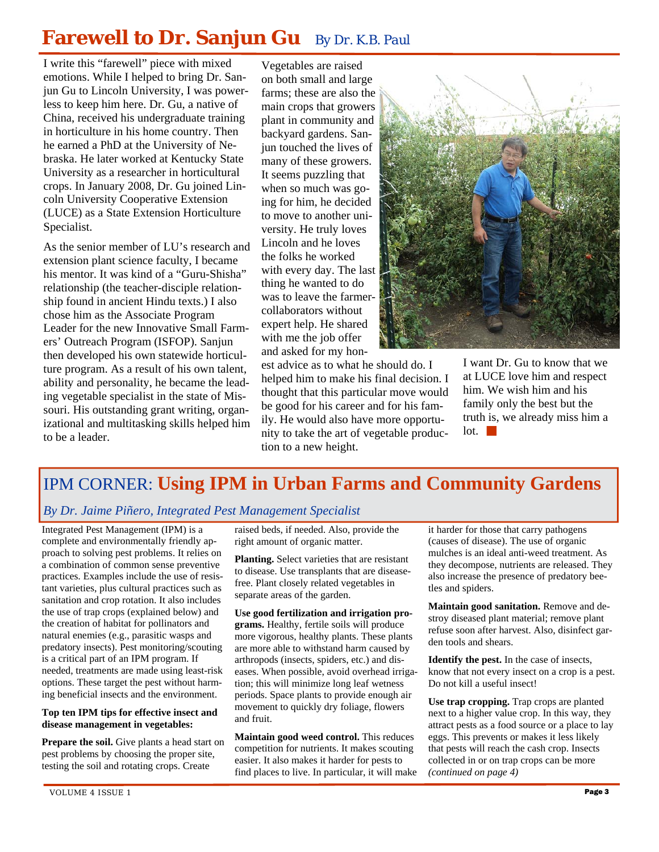# **Farewell to Dr. Sanjun Gu** *By Dr. K.B. Paul*

I write this "farewell" piece with mixed emotions. While I helped to bring Dr. Sanjun Gu to Lincoln University, I was powerless to keep him here. Dr. Gu, a native of China, received his undergraduate training in horticulture in his home country. Then he earned a PhD at the University of Nebraska. He later worked at Kentucky State University as a researcher in horticultural crops. In January 2008, Dr. Gu joined Lincoln University Cooperative Extension (LUCE) as a State Extension Horticulture Specialist.

As the senior member of LU's research and extension plant science faculty, I became his mentor. It was kind of a "Guru-Shisha" relationship (the teacher-disciple relationship found in ancient Hindu texts.) I also chose him as the Associate Program Leader for the new Innovative Small Farmers' Outreach Program (ISFOP). Sanjun then developed his own statewide horticulture program. As a result of his own talent, ability and personality, he became the leading vegetable specialist in the state of Missouri. His outstanding grant writing, organizational and multitasking skills helped him to be a leader.

Vegetables are raised on both small and large farms; these are also the main crops that growers plant in community and backyard gardens. Sanjun touched the lives of many of these growers. It seems puzzling that when so much was going for him, he decided to move to another university. He truly loves Lincoln and he loves the folks he worked with every day. The last thing he wanted to do was to leave the farmercollaborators without expert help. He shared with me the job offer and asked for my hon-

est advice as to what he should do. I helped him to make his final decision. I thought that this particular move would be good for his career and for his family. He would also have more opportunity to take the art of vegetable production to a new height.



I want Dr. Gu to know that we at LUCE love him and respect him. We wish him and his family only the best but the truth is, we already miss him a  $\overline{\phantom{a}}$  lot.

## IPM CORNER: **Using IPM in Urban Farms and Community Gardens**

#### *By Dr. Jaime Piñero, Integrated Pest Management Specialist*

Integrated Pest Management (IPM) is a complete and environmentally friendly approach to solving pest problems. It relies on a combination of common sense preventive practices. Examples include the use of resistant varieties, plus cultural practices such as sanitation and crop rotation. It also includes the use of trap crops (explained below) and the creation of habitat for pollinators and natural enemies (e.g., parasitic wasps and predatory insects). Pest monitoring/scouting is a critical part of an IPM program. If needed, treatments are made using least-risk options. These target the pest without harming beneficial insects and the environment.

#### **Top ten IPM tips for effective insect and disease management in vegetables:**

**Prepare the soil.** Give plants a head start on pest problems by choosing the proper site, testing the soil and rotating crops. Create

raised beds, if needed. Also, provide the right amount of organic matter.

**Planting.** Select varieties that are resistant to disease. Use transplants that are diseasefree. Plant closely related vegetables in separate areas of the garden.

**Use good fertilization and irrigation programs.** Healthy, fertile soils will produce more vigorous, healthy plants. These plants are more able to withstand harm caused by arthropods (insects, spiders, etc.) and diseases. When possible, avoid overhead irrigation; this will minimize long leaf wetness periods. Space plants to provide enough air movement to quickly dry foliage, flowers and fruit.

**Maintain good weed control.** This reduces competition for nutrients. It makes scouting easier. It also makes it harder for pests to find places to live. In particular, it will make it harder for those that carry pathogens (causes of disease). The use of organic mulches is an ideal anti-weed treatment. As they decompose, nutrients are released. They also increase the presence of predatory beetles and spiders.

**Maintain good sanitation.** Remove and destroy diseased plant material; remove plant refuse soon after harvest. Also, disinfect garden tools and shears.

**Identify the pest.** In the case of insects, know that not every insect on a crop is a pest. Do not kill a useful insect!

Use trap cropping. Trap crops are planted next to a higher value crop. In this way, they attract pests as a food source or a place to lay eggs. This prevents or makes it less likely that pests will reach the cash crop. Insects collected in or on trap crops can be more *(continued on page 4)*